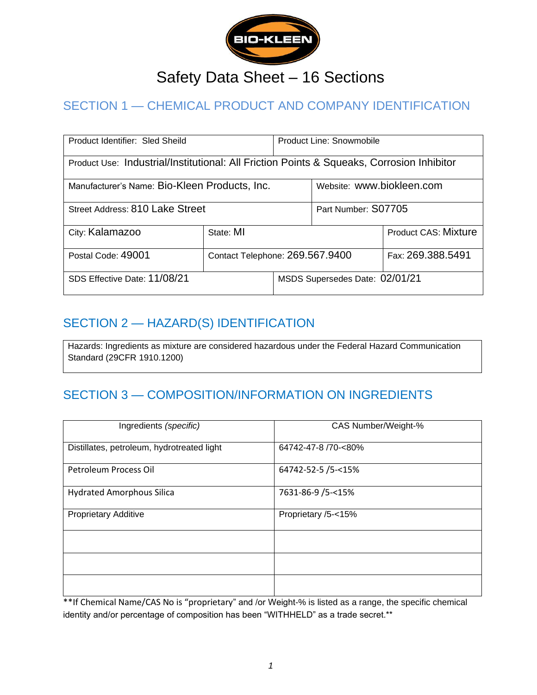

# Safety Data Sheet – 16 Sections

# SECTION 1 — CHEMICAL PRODUCT AND COMPANY IDENTIFICATION

| Product Identifier: Sled Sheild                                                           |                                 | Product Line: Snowmobile       |                             |  |
|-------------------------------------------------------------------------------------------|---------------------------------|--------------------------------|-----------------------------|--|
| Product Use: Industrial/Institutional: All Friction Points & Squeaks, Corrosion Inhibitor |                                 |                                |                             |  |
| Manufacturer's Name: Bio-Kleen Products, Inc.                                             |                                 |                                | Website: www.biokleen.com   |  |
| Street Address: 810 Lake Street                                                           |                                 |                                | Part Number: S07705         |  |
| City: Kalamazoo                                                                           | State: MI                       |                                | <b>Product CAS: Mixture</b> |  |
| Postal Code: 49001                                                                        | Contact Telephone: 269.567.9400 |                                | Fax: 269.388.5491           |  |
| SDS Effective Date: 11/08/21                                                              |                                 | MSDS Supersedes Date: 02/01/21 |                             |  |

#### SECTION 2 — HAZARD(S) IDENTIFICATION

Hazards: Ingredients as mixture are considered hazardous under the Federal Hazard Communication Standard (29CFR 1910.1200)

# SECTION 3 — COMPOSITION/INFORMATION ON INGREDIENTS

| Ingredients (specific)                     | CAS Number/Weight-% |
|--------------------------------------------|---------------------|
| Distillates, petroleum, hydrotreated light | 64742-47-8 /70-<80% |
| Petroleum Process Oil                      | 64742-52-5 /5-<15%  |
| <b>Hydrated Amorphous Silica</b>           | 7631-86-9 /5-<15%   |
| <b>Proprietary Additive</b>                | Proprietary /5-<15% |
|                                            |                     |
|                                            |                     |
|                                            |                     |

\*\*If Chemical Name/CAS No is "proprietary" and /or Weight-% is listed as a range, the specific chemical identity and/or percentage of composition has been "WITHHELD" as a trade secret.\*\*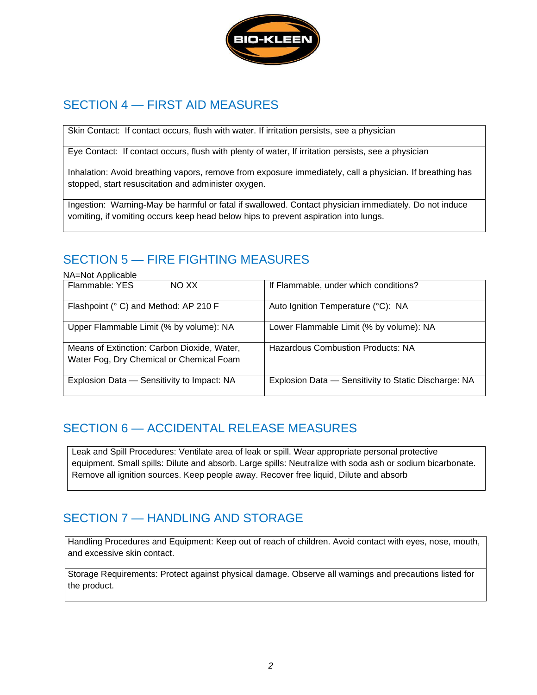

### SECTION 4 — FIRST AID MEASURES

Skin Contact: If contact occurs, flush with water. If irritation persists, see a physician

Eye Contact: If contact occurs, flush with plenty of water, If irritation persists, see a physician

Inhalation: Avoid breathing vapors, remove from exposure immediately, call a physician. If breathing has stopped, start resuscitation and administer oxygen.

Ingestion: Warning-May be harmful or fatal if swallowed. Contact physician immediately. Do not induce vomiting, if vomiting occurs keep head below hips to prevent aspiration into lungs.

# SECTION 5 — FIRE FIGHTING MEASURES

NA=Not Applicable

| . 7. 1.0. 7. 1.0.0.0.0.0.0                  |                                                      |
|---------------------------------------------|------------------------------------------------------|
| Flammable: YES<br>NO XX                     | If Flammable, under which conditions?                |
| Flashpoint (° C) and Method: AP 210 F       | Auto Ignition Temperature (°C): NA                   |
| Upper Flammable Limit (% by volume): NA     | Lower Flammable Limit (% by volume): NA              |
| Means of Extinction: Carbon Dioxide, Water, | <b>Hazardous Combustion Products: NA</b>             |
| Water Fog, Dry Chemical or Chemical Foam    |                                                      |
| Explosion Data - Sensitivity to Impact: NA  | Explosion Data - Sensitivity to Static Discharge: NA |

### SECTION 6 — ACCIDENTAL RELEASE MEASURES

Leak and Spill Procedures: Ventilate area of leak or spill. Wear appropriate personal protective equipment. Small spills: Dilute and absorb. Large spills: Neutralize with soda ash or sodium bicarbonate. Remove all ignition sources. Keep people away. Recover free liquid, Dilute and absorb

### SECTION 7 — HANDLING AND STORAGE

Handling Procedures and Equipment: Keep out of reach of children. Avoid contact with eyes, nose, mouth, and excessive skin contact.

Storage Requirements: Protect against physical damage. Observe all warnings and precautions listed for the product.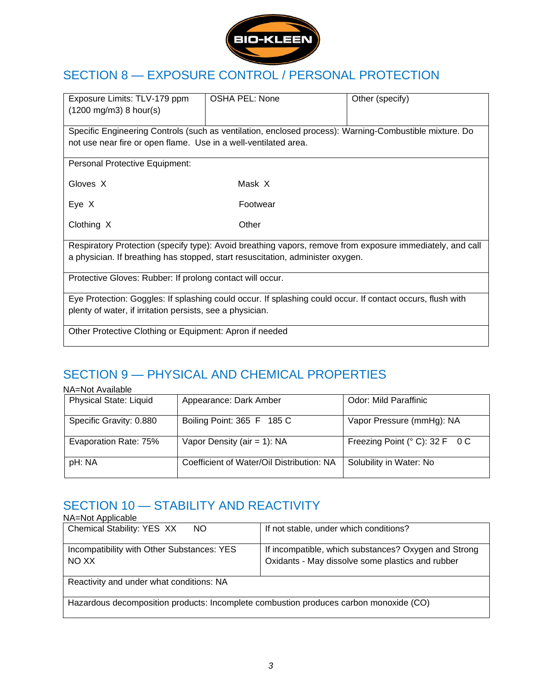

### SECTION 8 — EXPOSURE CONTROL / PERSONAL PROTECTION

| Exposure Limits: TLV-179 ppm<br>$(1200 \text{ mg/m3})$ 8 hour(s)                                           | OSHA PEL: None | Other (specify) |  |
|------------------------------------------------------------------------------------------------------------|----------------|-----------------|--|
| Specific Engineering Controls (such as ventilation, enclosed process): Warning-Combustible mixture. Do     |                |                 |  |
| not use near fire or open flame. Use in a well-ventilated area.                                            |                |                 |  |
| Personal Protective Equipment:                                                                             |                |                 |  |
| Gloves X                                                                                                   | Mask X         |                 |  |
| Eye X                                                                                                      | Footwear       |                 |  |
| Clothing X                                                                                                 | Other          |                 |  |
| Respiratory Protection (specify type): Avoid breathing vapors, remove from exposure immediately, and call  |                |                 |  |
| a physician. If breathing has stopped, start resuscitation, administer oxygen.                             |                |                 |  |
| Protective Gloves: Rubber: If prolong contact will occur.                                                  |                |                 |  |
| Eye Protection: Goggles: If splashing could occur. If splashing could occur. If contact occurs, flush with |                |                 |  |
| plenty of water, if irritation persists, see a physician.                                                  |                |                 |  |
| Other Protective Clothing or Equipment: Apron if needed                                                    |                |                 |  |

# SECTION 9 — PHYSICAL AND CHEMICAL PROPERTIES

| NA=Not Available              |                                           |                                |
|-------------------------------|-------------------------------------------|--------------------------------|
| <b>Physical State: Liquid</b> | Appearance: Dark Amber                    | Odor: Mild Paraffinic          |
| Specific Gravity: 0.880       | Boiling Point: 365 F 185 C                | Vapor Pressure (mmHg): NA      |
| Evaporation Rate: 75%         | Vapor Density (air = 1): $NA$             | Freezing Point (° C): 32 F 0 C |
| pH: NA                        | Coefficient of Water/Oil Distribution: NA | Solubility in Water: No        |

## SECTION 10 - STABILITY AND REACTIVITY

NA=Not Applicable

| <b>UNA-UVOL APPIIVADIG</b>                                                            |                                                      |  |
|---------------------------------------------------------------------------------------|------------------------------------------------------|--|
| Chemical Stability: YES XX<br>NO.                                                     | If not stable, under which conditions?               |  |
| Incompatibility with Other Substances: YES                                            | If incompatible, which substances? Oxygen and Strong |  |
| NO XX                                                                                 | Oxidants - May dissolve some plastics and rubber     |  |
| Reactivity and under what conditions: NA                                              |                                                      |  |
| Hazardous decomposition products: Incomplete combustion produces carbon monoxide (CO) |                                                      |  |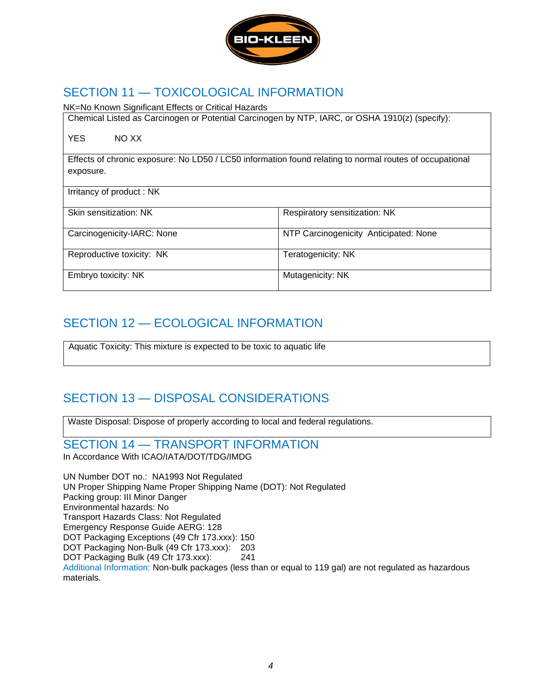

#### SECTION 11 — TOXICOLOGICAL INFORMATION

NK=No Known Significant Effects or Critical Hazards

Chemical Listed as Carcinogen or Potential Carcinogen by NTP, IARC, or OSHA 1910(z) (specify):

YES NO XX

Effects of chronic exposure: No LD50 / LC50 information found relating to normal routes of occupational exposure.

Irritancy of product : NK

Skin sensitization: NK Respiratory sensitization: NK

Carcinogenicity-IARC: None NTP Carcinogenicity Anticipated: None

Reproductive toxicity: NK Teratogenicity: NK

Embryo toxicity: NK Mutagenicity: NK

### SECTION 12 — ECOLOGICAL INFORMATION

Aquatic Toxicity: This mixture is expected to be toxic to aquatic life

### SECTION 13 — DISPOSAL CONSIDERATIONS

Waste Disposal: Dispose of properly according to local and federal regulations.

SECTION 14 — TRANSPORT INFORMATION In Accordance With ICAO/IATA/DOT/TDG/IMDG

UN Number DOT no.: NA1993 Not Regulated UN Proper Shipping Name Proper Shipping Name (DOT): Not Regulated Packing group: III Minor Danger Environmental hazards: No Transport Hazards Class: Not Regulated Emergency Response Guide AERG: 128 DOT Packaging Exceptions (49 Cfr 173.xxx): 150 DOT Packaging Non-Bulk (49 Cfr 173.xxx): 203 DOT Packaging Bulk (49 Cfr 173.xxx): 241 Additional Information: Non-bulk packages (less than or equal to 119 gal) are not regulated as hazardous materials.